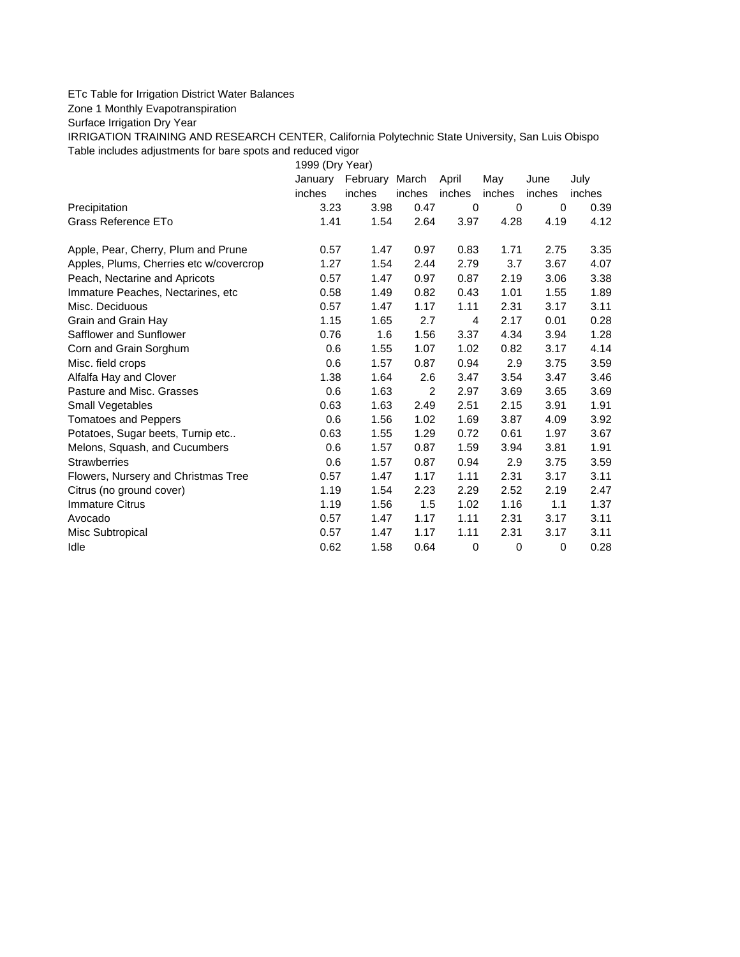## ETc Table for Irrigation District Water Balances

Zone 1 Monthly Evapotranspiration

Surface Irrigation Dry Year

IRRIGATION TRAINING AND RESEARCH CENTER, California Polytechnic State University, San Luis Obispo Table includes adjustments for bare spots and reduced vigor

1999 (Dry Year)

|                                         | January | February March |                | April    | May      | June     | July   |
|-----------------------------------------|---------|----------------|----------------|----------|----------|----------|--------|
|                                         | inches  | inches         | inches         | inches   | inches   | inches   | inches |
| Precipitation                           | 3.23    | 3.98           | 0.47           | $\Omega$ | $\Omega$ | $\Omega$ | 0.39   |
| Grass Reference ETo                     | 1.41    | 1.54           | 2.64           | 3.97     | 4.28     | 4.19     | 4.12   |
| Apple, Pear, Cherry, Plum and Prune     | 0.57    | 1.47           | 0.97           | 0.83     | 1.71     | 2.75     | 3.35   |
| Apples, Plums, Cherries etc w/covercrop | 1.27    | 1.54           | 2.44           | 2.79     | 3.7      | 3.67     | 4.07   |
| Peach, Nectarine and Apricots           | 0.57    | 1.47           | 0.97           | 0.87     | 2.19     | 3.06     | 3.38   |
| Immature Peaches, Nectarines, etc.      | 0.58    | 1.49           | 0.82           | 0.43     | 1.01     | 1.55     | 1.89   |
| Misc. Deciduous                         | 0.57    | 1.47           | 1.17           | 1.11     | 2.31     | 3.17     | 3.11   |
| Grain and Grain Hay                     | 1.15    | 1.65           | 2.7            | 4        | 2.17     | 0.01     | 0.28   |
| Safflower and Sunflower                 | 0.76    | 1.6            | 1.56           | 3.37     | 4.34     | 3.94     | 1.28   |
| Corn and Grain Sorghum                  | 0.6     | 1.55           | 1.07           | 1.02     | 0.82     | 3.17     | 4.14   |
| Misc. field crops                       | 0.6     | 1.57           | 0.87           | 0.94     | 2.9      | 3.75     | 3.59   |
| Alfalfa Hay and Clover                  | 1.38    | 1.64           | 2.6            | 3.47     | 3.54     | 3.47     | 3.46   |
| Pasture and Misc. Grasses               | 0.6     | 1.63           | $\overline{2}$ | 2.97     | 3.69     | 3.65     | 3.69   |
| Small Vegetables                        | 0.63    | 1.63           | 2.49           | 2.51     | 2.15     | 3.91     | 1.91   |
| <b>Tomatoes and Peppers</b>             | 0.6     | 1.56           | 1.02           | 1.69     | 3.87     | 4.09     | 3.92   |
| Potatoes, Sugar beets, Turnip etc       | 0.63    | 1.55           | 1.29           | 0.72     | 0.61     | 1.97     | 3.67   |
| Melons, Squash, and Cucumbers           | 0.6     | 1.57           | 0.87           | 1.59     | 3.94     | 3.81     | 1.91   |
| <b>Strawberries</b>                     | 0.6     | 1.57           | 0.87           | 0.94     | 2.9      | 3.75     | 3.59   |
| Flowers, Nursery and Christmas Tree     | 0.57    | 1.47           | 1.17           | 1.11     | 2.31     | 3.17     | 3.11   |
| Citrus (no ground cover)                | 1.19    | 1.54           | 2.23           | 2.29     | 2.52     | 2.19     | 2.47   |
| <b>Immature Citrus</b>                  | 1.19    | 1.56           | 1.5            | 1.02     | 1.16     | 1.1      | 1.37   |
| Avocado                                 | 0.57    | 1.47           | 1.17           | 1.11     | 2.31     | 3.17     | 3.11   |
| Misc Subtropical                        | 0.57    | 1.47           | 1.17           | 1.11     | 2.31     | 3.17     | 3.11   |
| Idle                                    | 0.62    | 1.58           | 0.64           | 0        | 0        | 0        | 0.28   |